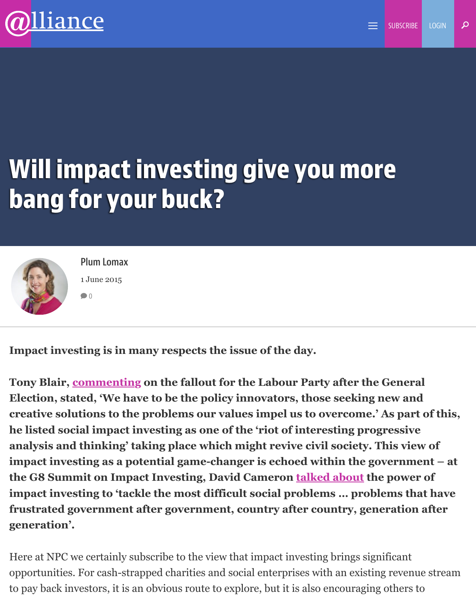## **Will impact investing give you more bang for your buck?**



**Plum Lomax** 1 June 2015  $\bigcirc$  0

**Impact inves[ting is in](http://www.alliancemagazine.org/blog/author/plum-lomax-2/) many respects the issue of the day.**

Tony Blair, **commenting on the fallout for the Labour Party after the General Election, stated, 'We have to be the policy innovators, those seeking new a creative solutions to the problems our values impel us to overcome.' As p he listed social impact investing as one of the 'riot of interesting progress** analysis and thinking' taking place which might revive civil society. This **v impact inv[esting as a pot](http://www.theguardian.com/politics/2015/may/09/tony-blair-labour-return-centre-ground-general-election-defeat)ential game-changer is echoed within the governent – the G8 Summit on Impact Investing, David Cameron talked about the poyable** impact investing to 'tackle the most difficult social problems ... problems **frustrated government after government, country after country, generation and after generation'.**

Here at NPC we certainly subscribe to the view that impact in[vesting brings s](https://www.gov.uk/government/speeches/prime-ministers-speech-at-the-social-impact-investment-conference)ignificant opportunities. For cash-strapped charities and social enterprises with an existing reve to pay back investors, it is an obvious route to explore, but it is also encouraging other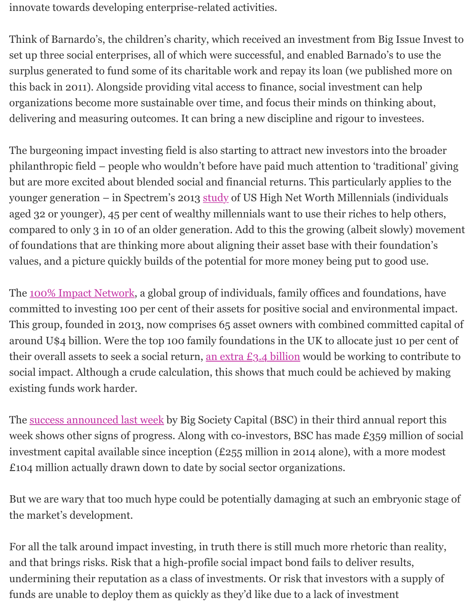this back in 2011). Alongside providing vital access to finance, social investment can l organizations become more sustainable over time, and focus their minds on thinking delivering and measuring outcomes. It can bring a new discipline and rigour to invest

The burgeoning impact investing field is also starting to attract new investors into the philanthropic field – people who wouldn't before have paid much attention to 'traditional' giving provided who but are more excited about blended social and financial returns. This particularly app younger generation – in Spectrem's 2013 study of US High Net Worth Millennials (in aged 32 or younger), 45 per cent of wealthy millennials want to use their riches to hel compared to only 3 in 10 of an older generation. Add to this the growing (albeit slowly of foundations that are thinking more about aligning their asset base with their found values, and a picture quickly builds of the potential for more money being put to good

The 100% Impact Network, a global group of individuals, family offices and foundations, committed to investing 100 per cent of their assets for positive social and environment This group, founded in 2013, now comprises 65 asset owners with combined commit around U\$4 billion. Were the top 100 family foundations in the UK to allocate just 10 their overall assets to seek a social return, an extra  $E_3$ .  $4$  billion would be working to c soci[al impact. Although a cr](http://www.toniic.com/100-impact-network/)ude calculation, this shows that much could be achieved by existing funds work harder.

The success announced last week by Big Society Capital (BSC) in their third annual report this week shows other signs of progress. Along [with co-investors, BS](http://www2.pioneerspost.com/news-views/20141008/invest-least-10-of-assets-social-good-npc-urges-foundations)C has made £359 mil investment capital available since inception  $(E255)$  million in 2014 alone), with a mor £104 million actually drawn down to date by social sector organizations.

But [we are wary that too much hy](http://www.bigsocietycapital.com/sites/default/files/pdf/19.05.15%20Big%20Society%20Capital%20-%20investments%20tripled%20in%20the%20last%20year%20FINAL.pdf)pe could be potentially damaging at such an embryonic stage of  $\mu$ the market's development.

For all the talk around impact investing, in truth there is still much more rhetoric than and that brings risks. Risk that a high-profile social impact bond fails to deliver results undermining their reputation as a class of investments. Or risk that investors with a s funds are unable to deploy them as quickly as they'd like due to a lack of investment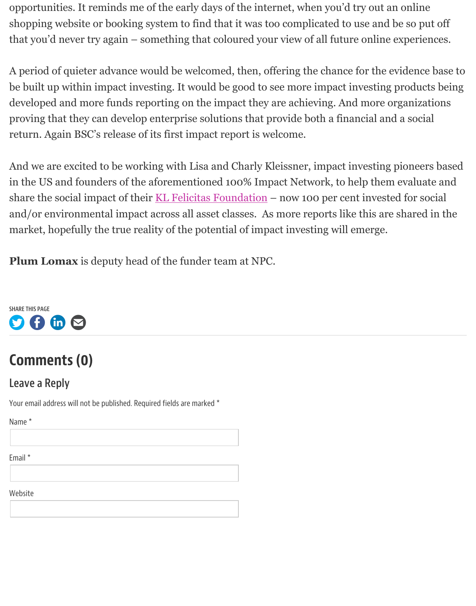be built up within impact investing. It would be good to see more impact investing pr developed and more funds reporting on the impact they are achieving. And more organizations proving that they can develop enterprise solutions that provide both a financial and a return. Again BSC's release of its first impact report is welcome.

And we are excited to be working with Lisa and Charly Kleissner, impact investing pioneers based of  $\mu$ in the US and founders of the aforementioned 100% Impact Network, to help them ev share the social impact of their  $KL$  Felicitas Foundation – now 100 per cent invested and/or environmental impact across all asset classes. As more reports like this are shared in the the market, hopefully the true reality of the potential of impact investing will emerge.

**Plum Lomax** is deputy head of the funder team at NPC.



## **Comments (0)**

## **Leave a Reply**

[Your](http://twitter.com/home?status=Will%20impact%20investing%20give%20you%20more%20bang%20for%20your%20buck?%20-%20http%3A%2F%2Fwww.alliancemagazine.org%2Fblog%2Fwill-impact-investing-give-you-more-bang-for-your-buck%2F) e[mail a](https://www.facebook.com/sharer/sharer.php?u=http%3A%2F%2Fwww.alliancemagazine.org%2Fblog%2Fwill-impact-investing-give-you-more-bang-for-your-buck%2F)[ddress](https://www.linkedin.com/shareArticle?Will%20impact%20investing%20give%20you%20more%20bang%20for%20your%20buck?&url=http%3A%2F%2Fwww.alliancemagazine.org%2Fblog%2Fwill-impact-investing-give-you-more-bang-for-your-buck%2F&title=Will%20impact%20investing%20give%20you%20more%20bang%20for%20your%20buck?&mini=true&source=alliancemagazine%2Eorg) [will no](mailto:?subject=Alliance%20magazine%20-%20Will%20impact%20investing%20give%20you%20more%20bang%20for%20your%20buck?&body=Check%20out%20this%20link%20by%20Alliance%20magazine%20-%20http://www.alliancemagazine.org/blog/will-impact-investing-give-you-more-bang-for-your-buck/)t be published. Required fields are marked \*

Name \*

Email \*

Website